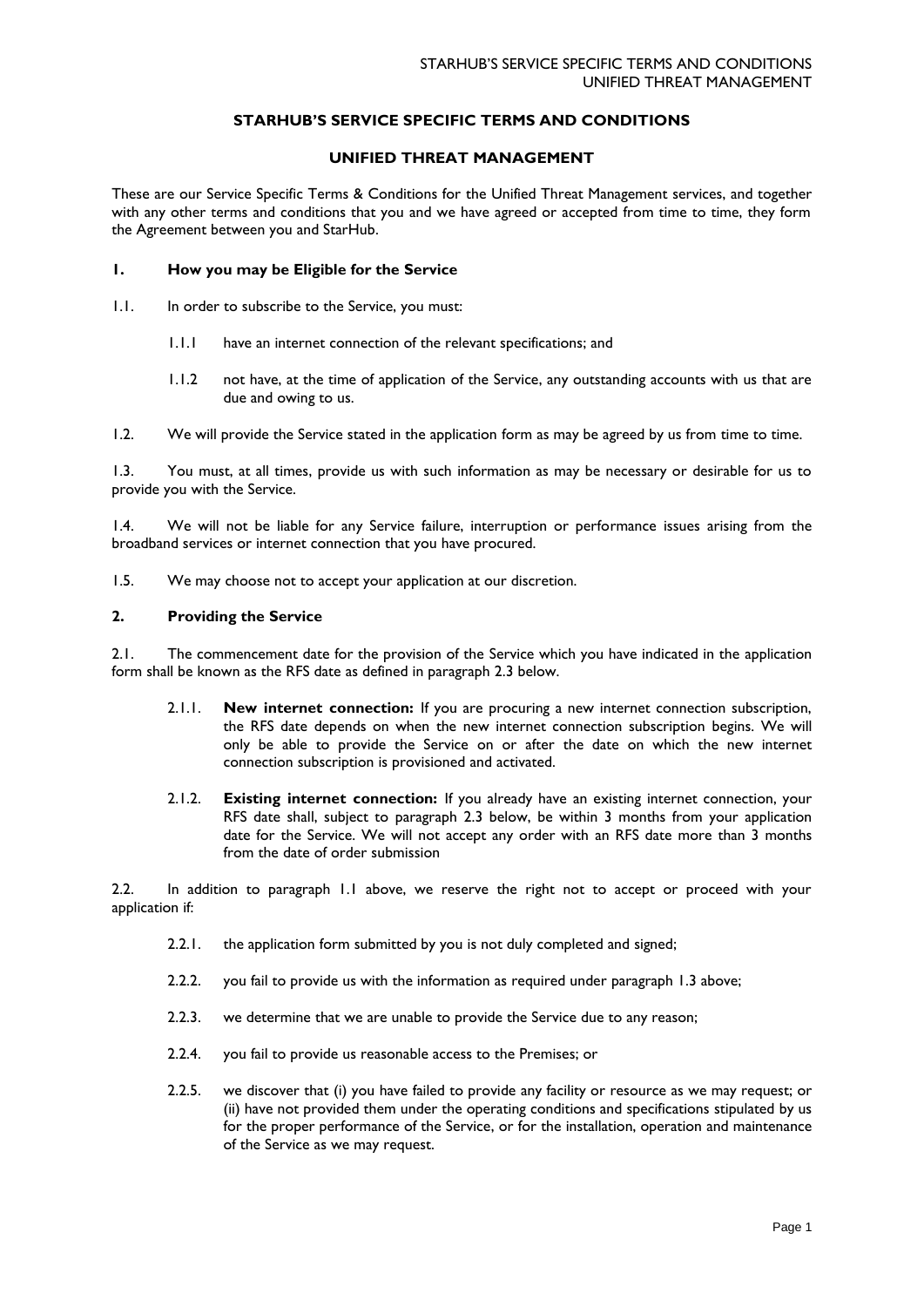### **STARHUB'S SERVICE SPECIFIC TERMS AND CONDITIONS**

### **UNIFIED THREAT MANAGEMENT**

These are our Service Specific Terms & Conditions for the Unified Threat Management services, and together with any other terms and conditions that you and we have agreed or accepted from time to time, they form the Agreement between you and StarHub.

#### **1. How you may be Eligible for the Service**

- 1.1. In order to subscribe to the Service, you must:
	- 1.1.1 have an internet connection of the relevant specifications; and
	- 1.1.2 not have, at the time of application of the Service, any outstanding accounts with us that are due and owing to us.
- 1.2. We will provide the Service stated in the application form as may be agreed by us from time to time.

1.3. You must, at all times, provide us with such information as may be necessary or desirable for us to provide you with the Service.

1.4. We will not be liable for any Service failure, interruption or performance issues arising from the broadband services or internet connection that you have procured.

1.5. We may choose not to accept your application at our discretion.

#### **2. Providing the Service**

2.1. The commencement date for the provision of the Service which you have indicated in the application form shall be known as the RFS date as defined in paragraph 2.3 below.

- 2.1.1. **New internet connection:** If you are procuring a new internet connection subscription, the RFS date depends on when the new internet connection subscription begins. We will only be able to provide the Service on or after the date on which the new internet connection subscription is provisioned and activated.
- 2.1.2. **Existing internet connection:** If you already have an existing internet connection, your RFS date shall, subject to paragraph 2.3 below, be within 3 months from your application date for the Service. We will not accept any order with an RFS date more than 3 months from the date of order submission

2.2. In addition to paragraph 1.1 above, we reserve the right not to accept or proceed with your application if:

- 2.2.1. the application form submitted by you is not duly completed and signed;
- 2.2.2. you fail to provide us with the information as required under paragraph 1.3 above;
- 2.2.3. we determine that we are unable to provide the Service due to any reason;
- 2.2.4. you fail to provide us reasonable access to the Premises; or
- 2.2.5. we discover that (i) you have failed to provide any facility or resource as we may request; or (ii) have not provided them under the operating conditions and specifications stipulated by us for the proper performance of the Service, or for the installation, operation and maintenance of the Service as we may request.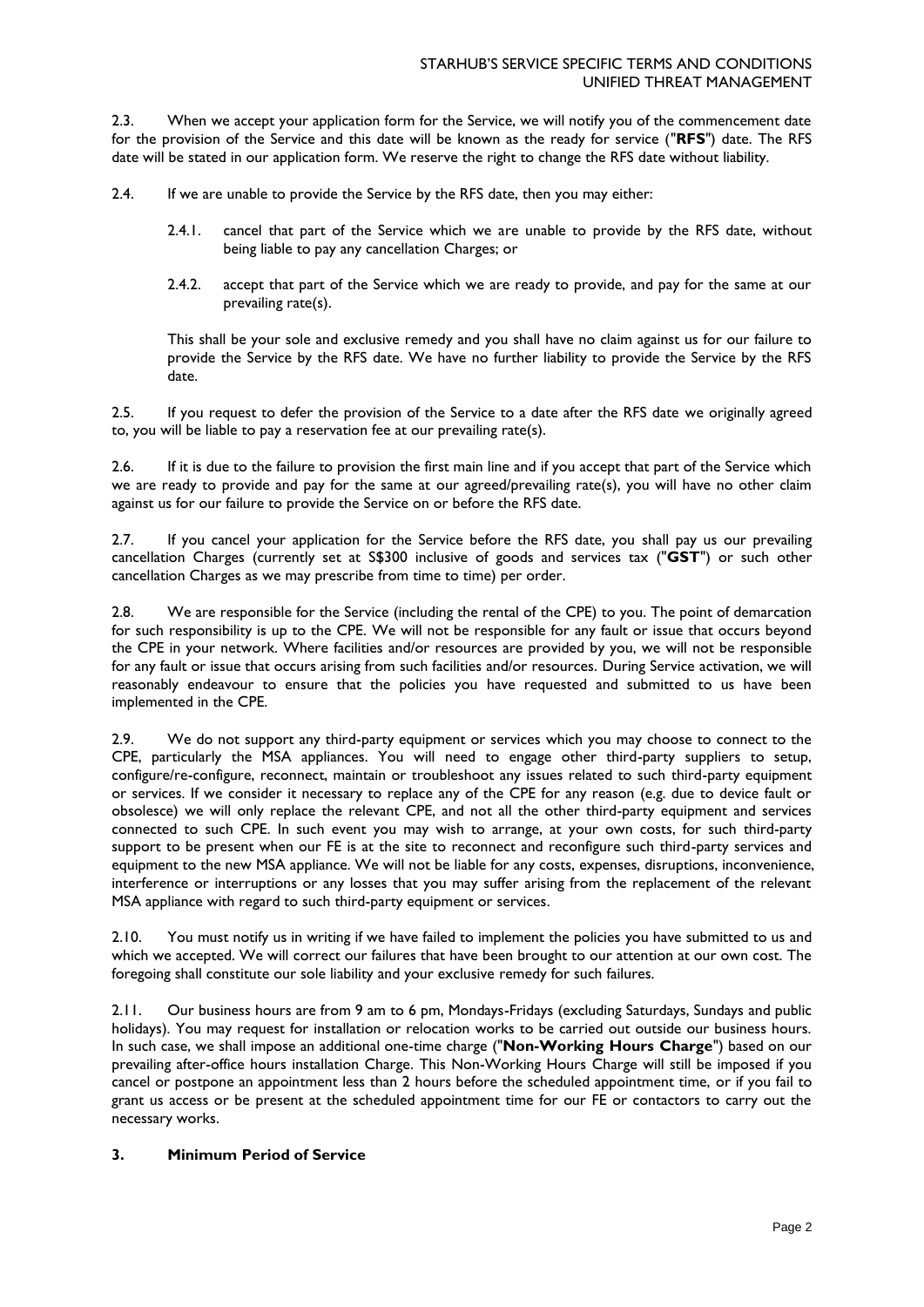2.3. When we accept your application form for the Service, we will notify you of the commencement date for the provision of the Service and this date will be known as the ready for service ("**RFS**") date. The RFS date will be stated in our application form. We reserve the right to change the RFS date without liability.

2.4. If we are unable to provide the Service by the RFS date, then you may either:

- 2.4.1. cancel that part of the Service which we are unable to provide by the RFS date, without being liable to pay any cancellation Charges; or
- 2.4.2. accept that part of the Service which we are ready to provide, and pay for the same at our prevailing rate(s).

This shall be your sole and exclusive remedy and you shall have no claim against us for our failure to provide the Service by the RFS date. We have no further liability to provide the Service by the RFS date.

2.5. If you request to defer the provision of the Service to a date after the RFS date we originally agreed to, you will be liable to pay a reservation fee at our prevailing rate(s).

2.6. If it is due to the failure to provision the first main line and if you accept that part of the Service which we are ready to provide and pay for the same at our agreed/prevailing rate(s), you will have no other claim against us for our failure to provide the Service on or before the RFS date.

2.7. If you cancel your application for the Service before the RFS date, you shall pay us our prevailing cancellation Charges (currently set at S\$300 inclusive of goods and services tax ("**GST**") or such other cancellation Charges as we may prescribe from time to time) per order.

2.8. We are responsible for the Service (including the rental of the CPE) to you. The point of demarcation for such responsibility is up to the CPE. We will not be responsible for any fault or issue that occurs beyond the CPE in your network. Where facilities and/or resources are provided by you, we will not be responsible for any fault or issue that occurs arising from such facilities and/or resources. During Service activation, we will reasonably endeavour to ensure that the policies you have requested and submitted to us have been implemented in the CPE.

2.9. We do not support any third-party equipment or services which you may choose to connect to the CPE, particularly the MSA appliances. You will need to engage other third-party suppliers to setup, configure/re-configure, reconnect, maintain or troubleshoot any issues related to such third-party equipment or services. If we consider it necessary to replace any of the CPE for any reason (e.g. due to device fault or obsolesce) we will only replace the relevant CPE, and not all the other third-party equipment and services connected to such CPE. In such event you may wish to arrange, at your own costs, for such third-party support to be present when our FE is at the site to reconnect and reconfigure such third-party services and equipment to the new MSA appliance. We will not be liable for any costs, expenses, disruptions, inconvenience, interference or interruptions or any losses that you may suffer arising from the replacement of the relevant MSA appliance with regard to such third-party equipment or services.

2.10. You must notify us in writing if we have failed to implement the policies you have submitted to us and which we accepted. We will correct our failures that have been brought to our attention at our own cost. The foregoing shall constitute our sole liability and your exclusive remedy for such failures.

2.11. Our business hours are from 9 am to 6 pm, Mondays-Fridays (excluding Saturdays, Sundays and public holidays). You may request for installation or relocation works to be carried out outside our business hours. In such case, we shall impose an additional one-time charge ("**Non-Working Hours Charge**") based on our prevailing after-office hours installation Charge. This Non-Working Hours Charge will still be imposed if you cancel or postpone an appointment less than 2 hours before the scheduled appointment time, or if you fail to grant us access or be present at the scheduled appointment time for our FE or contactors to carry out the necessary works.

### **3. Minimum Period of Service**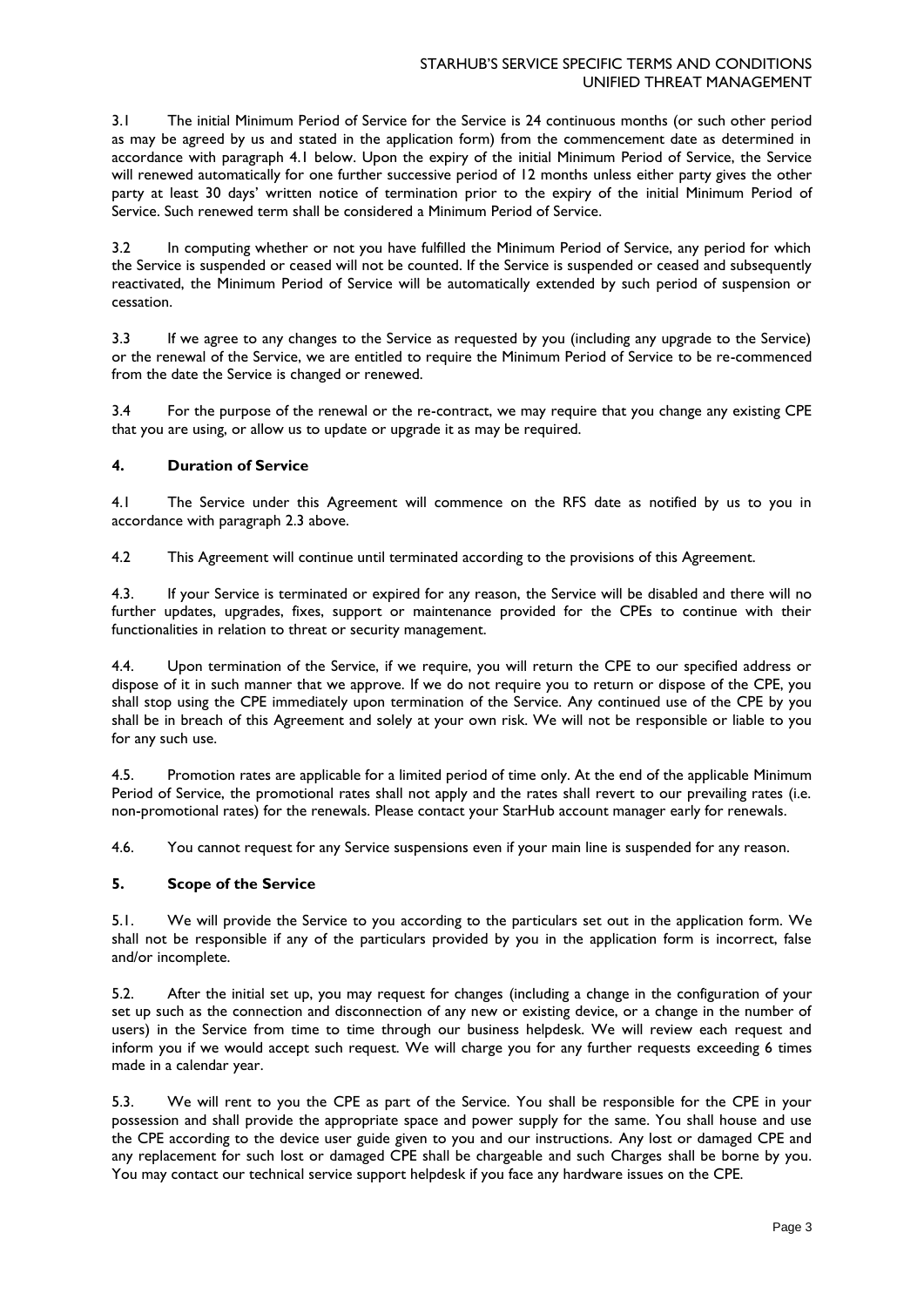3.1 The initial Minimum Period of Service for the Service is 24 continuous months (or such other period as may be agreed by us and stated in the application form) from the commencement date as determined in accordance with paragraph 4.1 below. Upon the expiry of the initial Minimum Period of Service, the Service will renewed automatically for one further successive period of 12 months unless either party gives the other party at least 30 days' written notice of termination prior to the expiry of the initial Minimum Period of Service. Such renewed term shall be considered a Minimum Period of Service.

3.2 In computing whether or not you have fulfilled the Minimum Period of Service, any period for which the Service is suspended or ceased will not be counted. If the Service is suspended or ceased and subsequently reactivated, the Minimum Period of Service will be automatically extended by such period of suspension or cessation.

3.3 If we agree to any changes to the Service as requested by you (including any upgrade to the Service) or the renewal of the Service, we are entitled to require the Minimum Period of Service to be re-commenced from the date the Service is changed or renewed.

3.4 For the purpose of the renewal or the re-contract, we may require that you change any existing CPE that you are using, or allow us to update or upgrade it as may be required.

### **4. Duration of Service**

4.1 The Service under this Agreement will commence on the RFS date as notified by us to you in accordance with paragraph 2.3 above.

4.2 This Agreement will continue until terminated according to the provisions of this Agreement.

4.3. If your Service is terminated or expired for any reason, the Service will be disabled and there will no further updates, upgrades, fixes, support or maintenance provided for the CPEs to continue with their functionalities in relation to threat or security management.

4.4. Upon termination of the Service, if we require, you will return the CPE to our specified address or dispose of it in such manner that we approve. If we do not require you to return or dispose of the CPE, you shall stop using the CPE immediately upon termination of the Service. Any continued use of the CPE by you shall be in breach of this Agreement and solely at your own risk. We will not be responsible or liable to you for any such use.

4.5. Promotion rates are applicable for a limited period of time only. At the end of the applicable Minimum Period of Service, the promotional rates shall not apply and the rates shall revert to our prevailing rates (i.e. non-promotional rates) for the renewals. Please contact your StarHub account manager early for renewals.

4.6. You cannot request for any Service suspensions even if your main line is suspended for any reason.

# **5. Scope of the Service**

5.1. We will provide the Service to you according to the particulars set out in the application form. We shall not be responsible if any of the particulars provided by you in the application form is incorrect, false and/or incomplete.

5.2. After the initial set up, you may request for changes (including a change in the configuration of your set up such as the connection and disconnection of any new or existing device, or a change in the number of users) in the Service from time to time through our business helpdesk. We will review each request and inform you if we would accept such request. We will charge you for any further requests exceeding 6 times made in a calendar year.

5.3. We will rent to you the CPE as part of the Service. You shall be responsible for the CPE in your possession and shall provide the appropriate space and power supply for the same. You shall house and use the CPE according to the device user guide given to you and our instructions. Any lost or damaged CPE and any replacement for such lost or damaged CPE shall be chargeable and such Charges shall be borne by you. You may contact our technical service support helpdesk if you face any hardware issues on the CPE.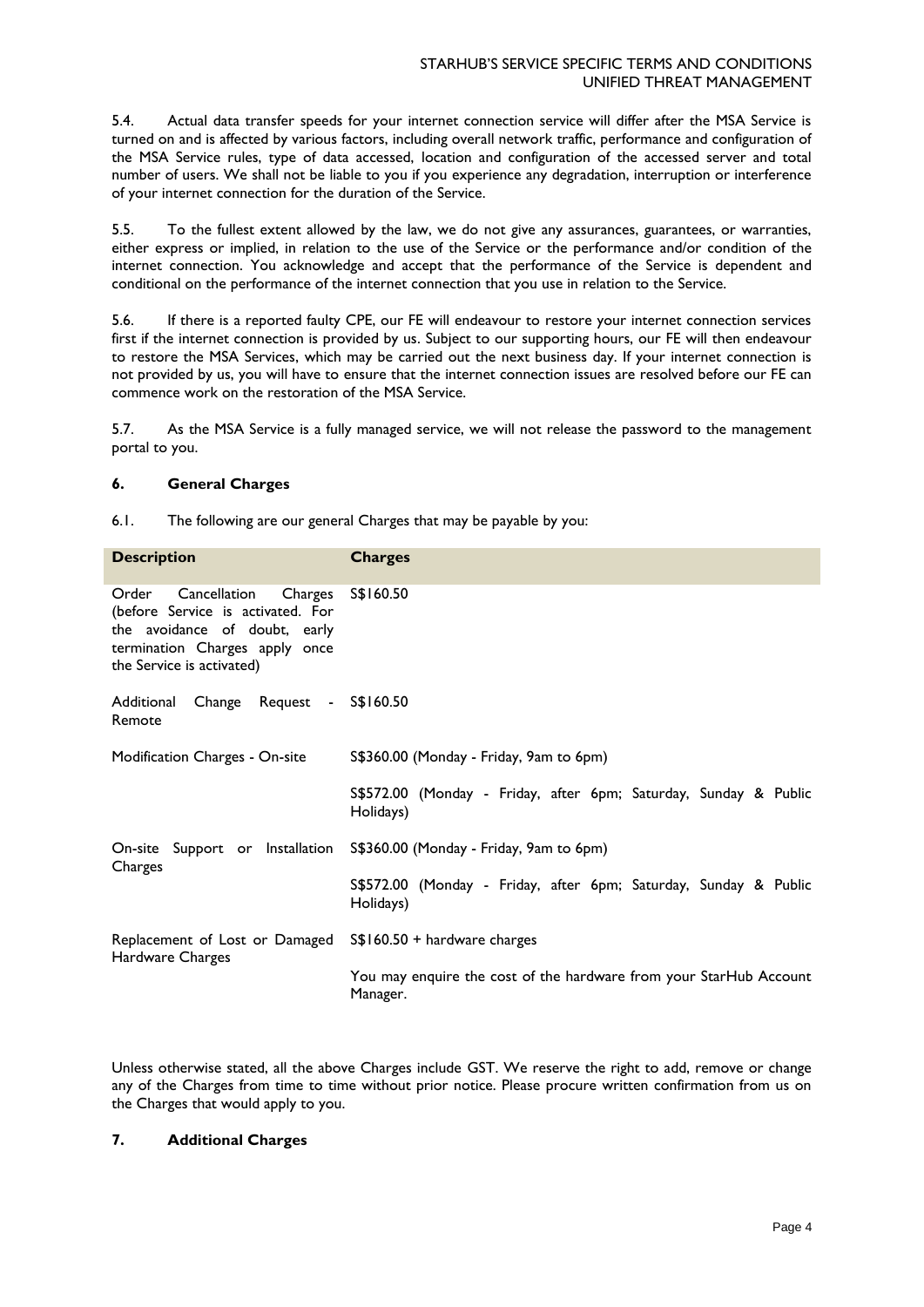5.4. Actual data transfer speeds for your internet connection service will differ after the MSA Service is turned on and is affected by various factors, including overall network traffic, performance and configuration of the MSA Service rules, type of data accessed, location and configuration of the accessed server and total number of users. We shall not be liable to you if you experience any degradation, interruption or interference of your internet connection for the duration of the Service.

5.5. To the fullest extent allowed by the law, we do not give any assurances, guarantees, or warranties, either express or implied, in relation to the use of the Service or the performance and/or condition of the internet connection. You acknowledge and accept that the performance of the Service is dependent and conditional on the performance of the internet connection that you use in relation to the Service.

5.6. If there is a reported faulty CPE, our FE will endeavour to restore your internet connection services first if the internet connection is provided by us. Subject to our supporting hours, our FE will then endeavour to restore the MSA Services, which may be carried out the next business day. If your internet connection is not provided by us, you will have to ensure that the internet connection issues are resolved before our FE can commence work on the restoration of the MSA Service.

5.7. As the MSA Service is a fully managed service, we will not release the password to the management portal to you.

### **6. General Charges**

6.1. The following are our general Charges that may be payable by you:

| <b>Description</b>                                                                                                                                                    | <b>Charges</b>                                                                 |
|-----------------------------------------------------------------------------------------------------------------------------------------------------------------------|--------------------------------------------------------------------------------|
| Cancellation<br>Charges<br>Order<br>(before Service is activated. For<br>the avoidance of doubt, early<br>termination Charges apply once<br>the Service is activated) | S\$160.50                                                                      |
| Additional Change Request - S\$160.50<br>Remote                                                                                                                       |                                                                                |
| Modification Charges - On-site                                                                                                                                        | S\$360.00 (Monday - Friday, 9am to 6pm)                                        |
|                                                                                                                                                                       | S\$572.00 (Monday - Friday, after 6pm; Saturday, Sunday & Public<br>Holidays)  |
| Charges                                                                                                                                                               | On-site Support or Installation S\$360.00 (Monday - Friday, 9am to 6pm)        |
|                                                                                                                                                                       | S\$572.00 (Monday - Friday, after 6pm; Saturday, Sunday & Public<br>Holidays)  |
| Replacement of Lost or Damaged S\$160.50 + hardware charges<br>Hardware Charges                                                                                       |                                                                                |
|                                                                                                                                                                       | You may enquire the cost of the hardware from your StarHub Account<br>Manager. |

Unless otherwise stated, all the above Charges include GST. We reserve the right to add, remove or change any of the Charges from time to time without prior notice. Please procure written confirmation from us on the Charges that would apply to you.

## **7. Additional Charges**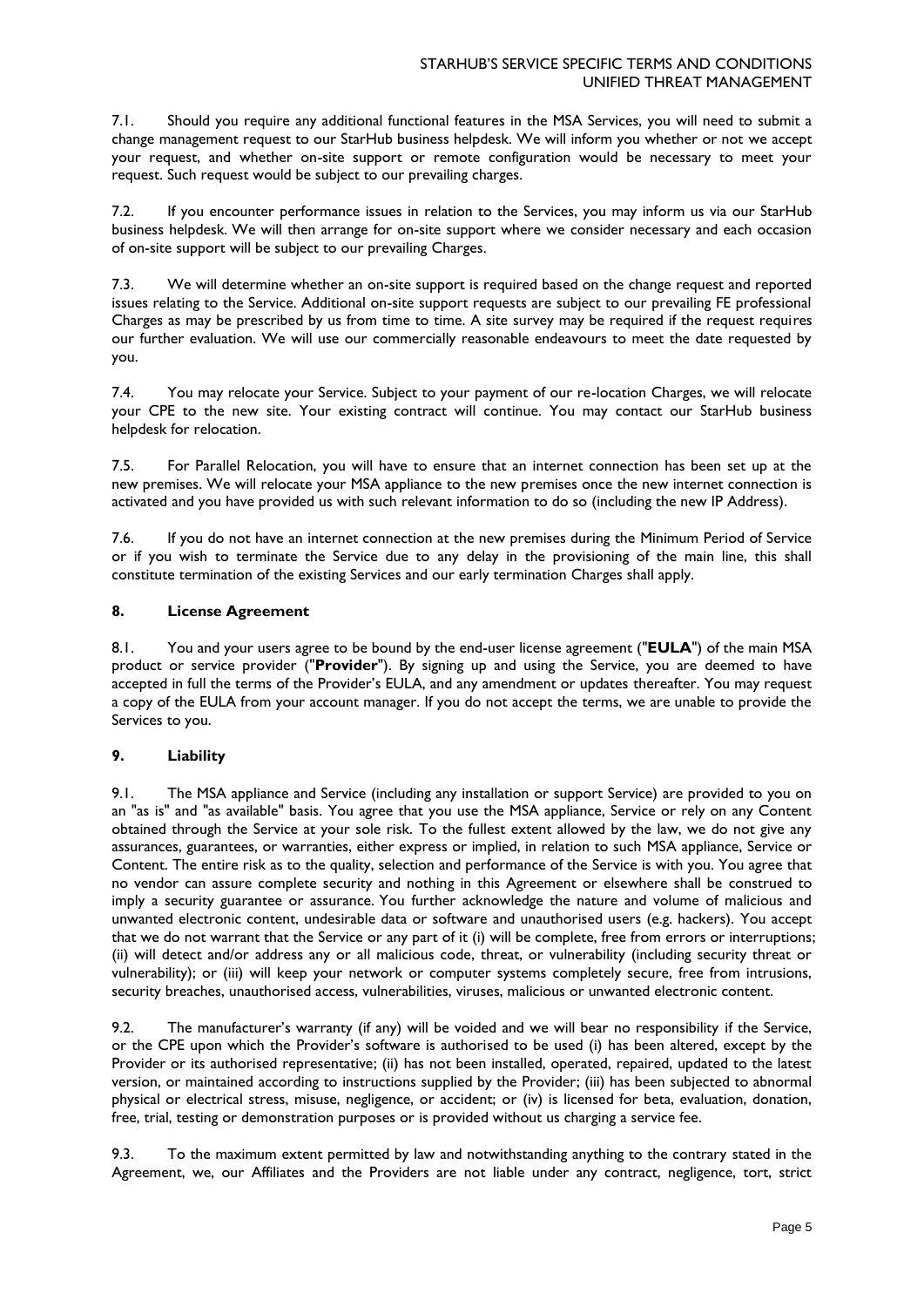7.1. Should you require any additional functional features in the MSA Services, you will need to submit a change management request to our StarHub business helpdesk. We will inform you whether or not we accept your request, and whether on-site support or remote configuration would be necessary to meet your request. Such request would be subject to our prevailing charges.

7.2. If you encounter performance issues in relation to the Services, you may inform us via our StarHub business helpdesk. We will then arrange for on-site support where we consider necessary and each occasion of on-site support will be subject to our prevailing Charges.

7.3. We will determine whether an on-site support is required based on the change request and reported issues relating to the Service. Additional on-site support requests are subject to our prevailing FE professional Charges as may be prescribed by us from time to time. A site survey may be required if the request requires our further evaluation. We will use our commercially reasonable endeavours to meet the date requested by you.

7.4. You may relocate your Service. Subject to your payment of our re-location Charges, we will relocate your CPE to the new site. Your existing contract will continue. You may contact our StarHub business helpdesk for relocation.

7.5. For Parallel Relocation, you will have to ensure that an internet connection has been set up at the new premises. We will relocate your MSA appliance to the new premises once the new internet connection is activated and you have provided us with such relevant information to do so (including the new IP Address).

7.6. If you do not have an internet connection at the new premises during the Minimum Period of Service or if you wish to terminate the Service due to any delay in the provisioning of the main line, this shall constitute termination of the existing Services and our early termination Charges shall apply.

# **8. License Agreement**

8.1. You and your users agree to be bound by the end-user license agreement ("**EULA**") of the main MSA product or service provider ("**Provider**"). By signing up and using the Service, you are deemed to have accepted in full the terms of the Provider's EULA, and any amendment or updates thereafter. You may request a copy of the EULA from your account manager. If you do not accept the terms, we are unable to provide the Services to you.

# **9. Liability**

9.1. The MSA appliance and Service (including any installation or support Service) are provided to you on an "as is" and "as available" basis. You agree that you use the MSA appliance, Service or rely on any Content obtained through the Service at your sole risk. To the fullest extent allowed by the law, we do not give any assurances, guarantees, or warranties, either express or implied, in relation to such MSA appliance, Service or Content. The entire risk as to the quality, selection and performance of the Service is with you. You agree that no vendor can assure complete security and nothing in this Agreement or elsewhere shall be construed to imply a security guarantee or assurance. You further acknowledge the nature and volume of malicious and unwanted electronic content, undesirable data or software and unauthorised users (e.g. hackers). You accept that we do not warrant that the Service or any part of it (i) will be complete, free from errors or interruptions; (ii) will detect and/or address any or all malicious code, threat, or vulnerability (including security threat or vulnerability); or (iii) will keep your network or computer systems completely secure, free from intrusions, security breaches, unauthorised access, vulnerabilities, viruses, malicious or unwanted electronic content.

9.2. The manufacturer's warranty (if any) will be voided and we will bear no responsibility if the Service, or the CPE upon which the Provider's software is authorised to be used (i) has been altered, except by the Provider or its authorised representative; (ii) has not been installed, operated, repaired, updated to the latest version, or maintained according to instructions supplied by the Provider; (iii) has been subjected to abnormal physical or electrical stress, misuse, negligence, or accident; or (iv) is licensed for beta, evaluation, donation, free, trial, testing or demonstration purposes or is provided without us charging a service fee.

9.3. To the maximum extent permitted by law and notwithstanding anything to the contrary stated in the Agreement, we, our Affiliates and the Providers are not liable under any contract, negligence, tort, strict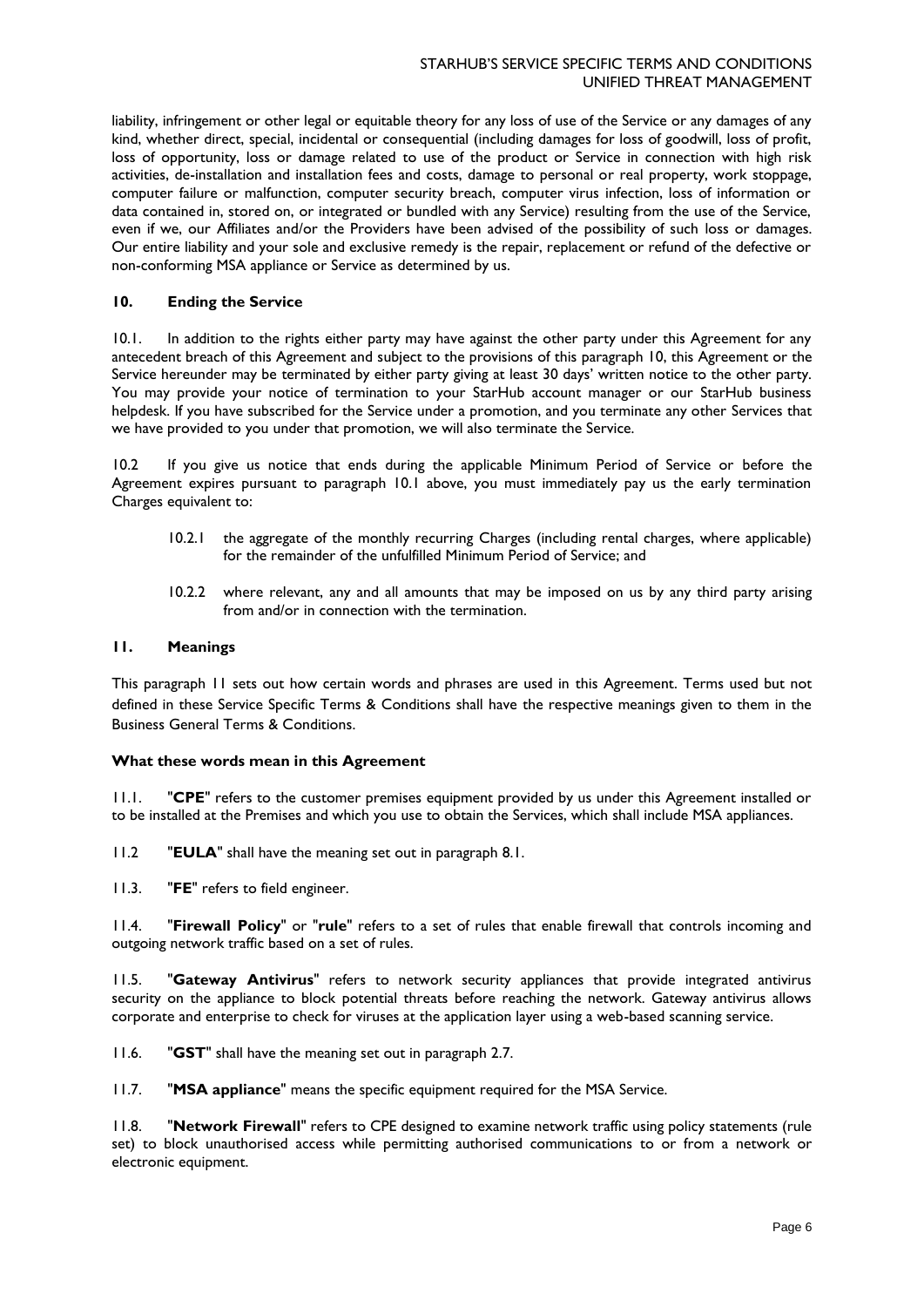liability, infringement or other legal or equitable theory for any loss of use of the Service or any damages of any kind, whether direct, special, incidental or consequential (including damages for loss of goodwill, loss of profit, loss of opportunity, loss or damage related to use of the product or Service in connection with high risk activities, de-installation and installation fees and costs, damage to personal or real property, work stoppage, computer failure or malfunction, computer security breach, computer virus infection, loss of information or data contained in, stored on, or integrated or bundled with any Service) resulting from the use of the Service, even if we, our Affiliates and/or the Providers have been advised of the possibility of such loss or damages. Our entire liability and your sole and exclusive remedy is the repair, replacement or refund of the defective or non-conforming MSA appliance or Service as determined by us.

### **10. Ending the Service**

10.1. In addition to the rights either party may have against the other party under this Agreement for any antecedent breach of this Agreement and subject to the provisions of this paragraph 10, this Agreement or the Service hereunder may be terminated by either party giving at least 30 days' written notice to the other party. You may provide your notice of termination to your StarHub account manager or our StarHub business helpdesk. If you have subscribed for the Service under a promotion, and you terminate any other Services that we have provided to you under that promotion, we will also terminate the Service.

10.2 If you give us notice that ends during the applicable Minimum Period of Service or before the Agreement expires pursuant to paragraph 10.1 above, you must immediately pay us the early termination Charges equivalent to:

- 10.2.1 the aggregate of the monthly recurring Charges (including rental charges, where applicable) for the remainder of the unfulfilled Minimum Period of Service; and
- 10.2.2 where relevant, any and all amounts that may be imposed on us by any third party arising from and/or in connection with the termination.

#### **11. Meanings**

This paragraph 11 sets out how certain words and phrases are used in this Agreement. Terms used but not defined in these Service Specific Terms & Conditions shall have the respective meanings given to them in the Business General Terms & Conditions.

#### **What these words mean in this Agreement**

11.1. "**CPE**" refers to the customer premises equipment provided by us under this Agreement installed or to be installed at the Premises and which you use to obtain the Services, which shall include MSA appliances.

11.2 "**EULA**" shall have the meaning set out in paragraph 8.1.

11.3. "**FE**" refers to field engineer.

11.4. "**Firewall Policy**" or "**rule**" refers to a set of rules that enable firewall that controls incoming and outgoing network traffic based on a set of rules.

11.5. "**Gateway Antivirus**" refers to network security appliances that provide integrated antivirus security on the appliance to block potential threats before reaching the network. Gateway antivirus allows corporate and enterprise to check for viruses at the application layer using a web-based scanning service.

11.6. "**GST**" shall have the meaning set out in paragraph 2.7.

11.7. "**MSA appliance**" means the specific equipment required for the MSA Service.

11.8. "**Network Firewall**" refers to CPE designed to examine network traffic using policy statements (rule set) to block unauthorised access while permitting authorised communications to or from a network or electronic equipment.